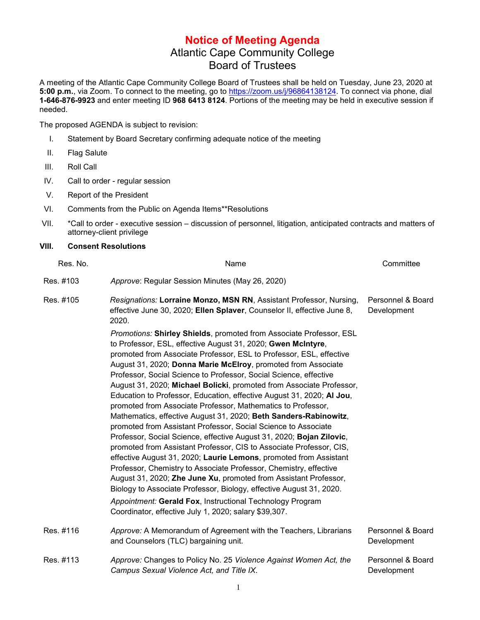## **Notice of Meeting Agenda** Atlantic Cape Community College Board of Trustees

A meeting of the Atlantic Cape Community College Board of Trustees shall be held on Tuesday, June 23, 2020 at **5:00 p.m.**, via Zoom. To connect to the meeting, go to [https://zoom.us/j/96864138124.](https://zoom.us/j/96864138124) To connect via phone, dial **1-646-876-9923** and enter meeting ID **968 6413 8124**. Portions of the meeting may be held in executive session if needed.

The proposed AGENDA is subject to revision:

- I. Statement by Board Secretary confirming adequate notice of the meeting
- II. Flag Salute
- III. Roll Call
- IV. Call to order regular session
- V. Report of the President
- VI. Comments from the Public on Agenda Items\*\*Resolutions
- VII. \*Call to order executive session discussion of personnel, litigation, anticipated contracts and matters of attorney-client privilege

## **VIII. Consent Resolutions**

| Res. No.  | Name                                                                                                                                                                                                                                                                                                                                                                                                                                                                                                                                                                                                                                                                                                                                                                                                                                                                                                                                                                                                                                                                                                                                                                                       | Committee                        |
|-----------|--------------------------------------------------------------------------------------------------------------------------------------------------------------------------------------------------------------------------------------------------------------------------------------------------------------------------------------------------------------------------------------------------------------------------------------------------------------------------------------------------------------------------------------------------------------------------------------------------------------------------------------------------------------------------------------------------------------------------------------------------------------------------------------------------------------------------------------------------------------------------------------------------------------------------------------------------------------------------------------------------------------------------------------------------------------------------------------------------------------------------------------------------------------------------------------------|----------------------------------|
| Res. #103 | Approve: Regular Session Minutes (May 26, 2020)                                                                                                                                                                                                                                                                                                                                                                                                                                                                                                                                                                                                                                                                                                                                                                                                                                                                                                                                                                                                                                                                                                                                            |                                  |
| Res. #105 | Resignations: Lorraine Monzo, MSN RN, Assistant Professor, Nursing,<br>effective June 30, 2020; Ellen Splaver, Counselor II, effective June 8,<br>2020.<br>Promotions: Shirley Shields, promoted from Associate Professor, ESL                                                                                                                                                                                                                                                                                                                                                                                                                                                                                                                                                                                                                                                                                                                                                                                                                                                                                                                                                             | Personnel & Board<br>Development |
|           | to Professor, ESL, effective August 31, 2020; Gwen McIntyre,<br>promoted from Associate Professor, ESL to Professor, ESL, effective<br>August 31, 2020; Donna Marie McElroy, promoted from Associate<br>Professor, Social Science to Professor, Social Science, effective<br>August 31, 2020; Michael Bolicki, promoted from Associate Professor,<br>Education to Professor, Education, effective August 31, 2020; Al Jou,<br>promoted from Associate Professor, Mathematics to Professor,<br>Mathematics, effective August 31, 2020; Beth Sanders-Rabinowitz,<br>promoted from Assistant Professor, Social Science to Associate<br>Professor, Social Science, effective August 31, 2020; Bojan Zilovic,<br>promoted from Assistant Professor, CIS to Associate Professor, CIS,<br>effective August 31, 2020; Laurie Lemons, promoted from Assistant<br>Professor, Chemistry to Associate Professor, Chemistry, effective<br>August 31, 2020; Zhe June Xu, promoted from Assistant Professor,<br>Biology to Associate Professor, Biology, effective August 31, 2020.<br>Appointment: Gerald Fox, Instructional Technology Program<br>Coordinator, effective July 1, 2020; salary \$39,307. |                                  |
| Res. #116 | Approve: A Memorandum of Agreement with the Teachers, Librarians<br>and Counselors (TLC) bargaining unit.                                                                                                                                                                                                                                                                                                                                                                                                                                                                                                                                                                                                                                                                                                                                                                                                                                                                                                                                                                                                                                                                                  | Personnel & Board<br>Development |
| Res. #113 | Approve: Changes to Policy No. 25 Violence Against Women Act, the<br>Campus Sexual Violence Act, and Title IX.                                                                                                                                                                                                                                                                                                                                                                                                                                                                                                                                                                                                                                                                                                                                                                                                                                                                                                                                                                                                                                                                             | Personnel & Board<br>Development |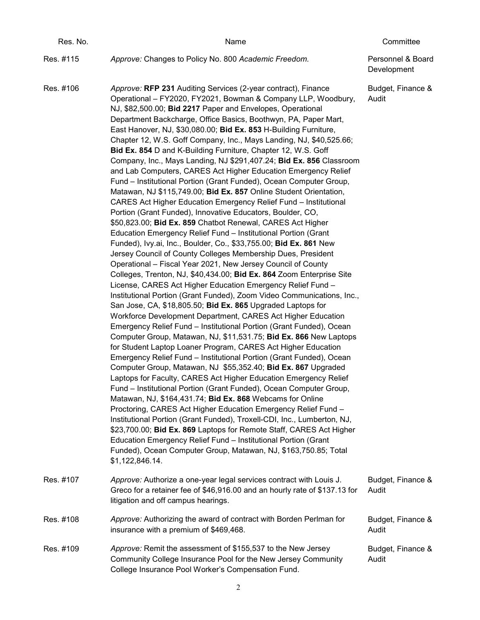| Res. No.  | Name                                                                                                                                                                                                                                                                                                                                                                                                                                                                                                                                                                                                                                                                                                                                                                                                                                                                                                                                                                                                                                                                                                                                                                                                                                                                                                                                                                                                                                                                                                                                                                                                                                                                                                                                                                                                                                                                                                                                                                                                                                                                                                                                                                                                                                                                                                                                                                                                                                                                                                                                  | Committee                        |
|-----------|---------------------------------------------------------------------------------------------------------------------------------------------------------------------------------------------------------------------------------------------------------------------------------------------------------------------------------------------------------------------------------------------------------------------------------------------------------------------------------------------------------------------------------------------------------------------------------------------------------------------------------------------------------------------------------------------------------------------------------------------------------------------------------------------------------------------------------------------------------------------------------------------------------------------------------------------------------------------------------------------------------------------------------------------------------------------------------------------------------------------------------------------------------------------------------------------------------------------------------------------------------------------------------------------------------------------------------------------------------------------------------------------------------------------------------------------------------------------------------------------------------------------------------------------------------------------------------------------------------------------------------------------------------------------------------------------------------------------------------------------------------------------------------------------------------------------------------------------------------------------------------------------------------------------------------------------------------------------------------------------------------------------------------------------------------------------------------------------------------------------------------------------------------------------------------------------------------------------------------------------------------------------------------------------------------------------------------------------------------------------------------------------------------------------------------------------------------------------------------------------------------------------------------------|----------------------------------|
| Res. #115 | Approve: Changes to Policy No. 800 Academic Freedom.                                                                                                                                                                                                                                                                                                                                                                                                                                                                                                                                                                                                                                                                                                                                                                                                                                                                                                                                                                                                                                                                                                                                                                                                                                                                                                                                                                                                                                                                                                                                                                                                                                                                                                                                                                                                                                                                                                                                                                                                                                                                                                                                                                                                                                                                                                                                                                                                                                                                                  | Personnel & Board<br>Development |
| Res. #106 | Approve: RFP 231 Auditing Services (2-year contract), Finance<br>Operational - FY2020, FY2021, Bowman & Company LLP, Woodbury,<br>NJ, \$82,500.00; Bid 2217 Paper and Envelopes, Operational<br>Department Backcharge, Office Basics, Boothwyn, PA, Paper Mart,<br>East Hanover, NJ, \$30,080.00; Bid Ex. 853 H-Building Furniture,<br>Chapter 12, W.S. Goff Company, Inc., Mays Landing, NJ, \$40,525.66;<br>Bid Ex. 854 D and K-Building Furniture, Chapter 12, W.S. Goff<br>Company, Inc., Mays Landing, NJ \$291,407.24; Bid Ex. 856 Classroom<br>and Lab Computers, CARES Act Higher Education Emergency Relief<br>Fund - Institutional Portion (Grant Funded), Ocean Computer Group,<br>Matawan, NJ \$115,749.00; Bid Ex. 857 Online Student Orientation,<br><b>CARES Act Higher Education Emergency Relief Fund - Institutional</b><br>Portion (Grant Funded), Innovative Educators, Boulder, CO,<br>\$50,823.00; Bid Ex. 859 Chatbot Renewal, CARES Act Higher<br>Education Emergency Relief Fund - Institutional Portion (Grant<br>Funded), Ivy.ai, Inc., Boulder, Co., \$33,755.00; Bid Ex. 861 New<br>Jersey Council of County Colleges Membership Dues, President<br>Operational - Fiscal Year 2021, New Jersey Council of County<br>Colleges, Trenton, NJ, \$40,434.00; Bid Ex. 864 Zoom Enterprise Site<br>License, CARES Act Higher Education Emergency Relief Fund -<br>Institutional Portion (Grant Funded), Zoom Video Communications, Inc.,<br>San Jose, CA, \$18,805.50; Bid Ex. 865 Upgraded Laptops for<br>Workforce Development Department, CARES Act Higher Education<br>Emergency Relief Fund - Institutional Portion (Grant Funded), Ocean<br>Computer Group, Matawan, NJ, \$11,531.75; Bid Ex. 866 New Laptops<br>for Student Laptop Loaner Program, CARES Act Higher Education<br>Emergency Relief Fund - Institutional Portion (Grant Funded), Ocean<br>Computer Group, Matawan, NJ \$55,352.40; Bid Ex. 867 Upgraded<br>Laptops for Faculty, CARES Act Higher Education Emergency Relief<br>Fund - Institutional Portion (Grant Funded), Ocean Computer Group,<br>Matawan, NJ, \$164,431.74; Bid Ex. 868 Webcams for Online<br>Proctoring, CARES Act Higher Education Emergency Relief Fund -<br>Institutional Portion (Grant Funded), Troxell-CDI, Inc., Lumberton, NJ,<br>\$23,700.00; Bid Ex. 869 Laptops for Remote Staff, CARES Act Higher<br>Education Emergency Relief Fund - Institutional Portion (Grant<br>Funded), Ocean Computer Group, Matawan, NJ, \$163,750.85; Total<br>\$1,122,846.14. | Budget, Finance &<br>Audit       |
| Res. #107 | Approve: Authorize a one-year legal services contract with Louis J.<br>Greco for a retainer fee of \$46,916.00 and an hourly rate of \$137.13 for<br>litigation and off campus hearings.                                                                                                                                                                                                                                                                                                                                                                                                                                                                                                                                                                                                                                                                                                                                                                                                                                                                                                                                                                                                                                                                                                                                                                                                                                                                                                                                                                                                                                                                                                                                                                                                                                                                                                                                                                                                                                                                                                                                                                                                                                                                                                                                                                                                                                                                                                                                              | Budget, Finance &<br>Audit       |
| Res. #108 | Approve: Authorizing the award of contract with Borden Perlman for<br>insurance with a premium of \$469,468.                                                                                                                                                                                                                                                                                                                                                                                                                                                                                                                                                                                                                                                                                                                                                                                                                                                                                                                                                                                                                                                                                                                                                                                                                                                                                                                                                                                                                                                                                                                                                                                                                                                                                                                                                                                                                                                                                                                                                                                                                                                                                                                                                                                                                                                                                                                                                                                                                          | Budget, Finance &<br>Audit       |
| Res. #109 | Approve: Remit the assessment of \$155,537 to the New Jersey<br>Community College Insurance Pool for the New Jersey Community<br>College Insurance Pool Worker's Compensation Fund.                                                                                                                                                                                                                                                                                                                                                                                                                                                                                                                                                                                                                                                                                                                                                                                                                                                                                                                                                                                                                                                                                                                                                                                                                                                                                                                                                                                                                                                                                                                                                                                                                                                                                                                                                                                                                                                                                                                                                                                                                                                                                                                                                                                                                                                                                                                                                   | Budget, Finance &<br>Audit       |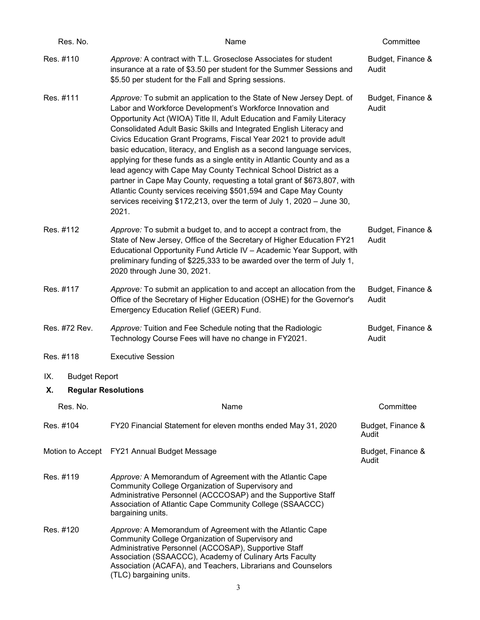| Res. No.                         | Name                                                                                                                                                                                                                                                                                                                                                                                                                                                                                                                                                                                                                                                                                                                                                                                                              | Committee                  |
|----------------------------------|-------------------------------------------------------------------------------------------------------------------------------------------------------------------------------------------------------------------------------------------------------------------------------------------------------------------------------------------------------------------------------------------------------------------------------------------------------------------------------------------------------------------------------------------------------------------------------------------------------------------------------------------------------------------------------------------------------------------------------------------------------------------------------------------------------------------|----------------------------|
| Res. #110                        | Approve: A contract with T.L. Groseclose Associates for student<br>insurance at a rate of \$3.50 per student for the Summer Sessions and<br>\$5.50 per student for the Fall and Spring sessions.                                                                                                                                                                                                                                                                                                                                                                                                                                                                                                                                                                                                                  | Budget, Finance &<br>Audit |
| Res. #111                        | Approve: To submit an application to the State of New Jersey Dept. of<br>Labor and Workforce Development's Workforce Innovation and<br>Opportunity Act (WIOA) Title II, Adult Education and Family Literacy<br>Consolidated Adult Basic Skills and Integrated English Literacy and<br>Civics Education Grant Programs, Fiscal Year 2021 to provide adult<br>basic education, literacy, and English as a second language services,<br>applying for these funds as a single entity in Atlantic County and as a<br>lead agency with Cape May County Technical School District as a<br>partner in Cape May County, requesting a total grant of \$673,807, with<br>Atlantic County services receiving \$501,594 and Cape May County<br>services receiving \$172,213, over the term of July 1, 2020 - June 30,<br>2021. | Budget, Finance &<br>Audit |
| Res. #112                        | Approve: To submit a budget to, and to accept a contract from, the<br>State of New Jersey, Office of the Secretary of Higher Education FY21<br>Educational Opportunity Fund Article IV - Academic Year Support, with<br>preliminary funding of \$225,333 to be awarded over the term of July 1,<br>2020 through June 30, 2021.                                                                                                                                                                                                                                                                                                                                                                                                                                                                                    | Budget, Finance &<br>Audit |
| Res. #117                        | Approve: To submit an application to and accept an allocation from the<br>Office of the Secretary of Higher Education (OSHE) for the Governor's<br>Emergency Education Relief (GEER) Fund.                                                                                                                                                                                                                                                                                                                                                                                                                                                                                                                                                                                                                        | Budget, Finance &<br>Audit |
| Res. #72 Rev.                    | Approve: Tuition and Fee Schedule noting that the Radiologic<br>Technology Course Fees will have no change in FY2021.                                                                                                                                                                                                                                                                                                                                                                                                                                                                                                                                                                                                                                                                                             | Budget, Finance &<br>Audit |
| Res. #118                        | <b>Executive Session</b>                                                                                                                                                                                                                                                                                                                                                                                                                                                                                                                                                                                                                                                                                                                                                                                          |                            |
| IX.<br><b>Budget Report</b>      |                                                                                                                                                                                                                                                                                                                                                                                                                                                                                                                                                                                                                                                                                                                                                                                                                   |                            |
| Х.<br><b>Regular Resolutions</b> |                                                                                                                                                                                                                                                                                                                                                                                                                                                                                                                                                                                                                                                                                                                                                                                                                   |                            |
| Res. No.                         | Name                                                                                                                                                                                                                                                                                                                                                                                                                                                                                                                                                                                                                                                                                                                                                                                                              | Committee                  |
| Res. #104                        | FY20 Financial Statement for eleven months ended May 31, 2020                                                                                                                                                                                                                                                                                                                                                                                                                                                                                                                                                                                                                                                                                                                                                     | Budget, Finance &<br>Audit |
|                                  | Motion to Accept FY21 Annual Budget Message                                                                                                                                                                                                                                                                                                                                                                                                                                                                                                                                                                                                                                                                                                                                                                       | Budget, Finance &<br>Audit |
| Res. #119                        | Approve: A Memorandum of Agreement with the Atlantic Cape<br>Community College Organization of Supervisory and<br>Administrative Personnel (ACCCOSAP) and the Supportive Staff<br>Association of Atlantic Cape Community College (SSAACCC)<br>bargaining units.                                                                                                                                                                                                                                                                                                                                                                                                                                                                                                                                                   |                            |
| Res. #120                        | Approve: A Memorandum of Agreement with the Atlantic Cape<br>Community College Organization of Supervisory and<br>Administrative Personnel (ACCOSAP), Supportive Staff<br>Association (SSAACCC), Academy of Culinary Arts Faculty<br>Association (ACAFA), and Teachers, Librarians and Counselors<br>(TLC) bargaining units.<br>3                                                                                                                                                                                                                                                                                                                                                                                                                                                                                 |                            |